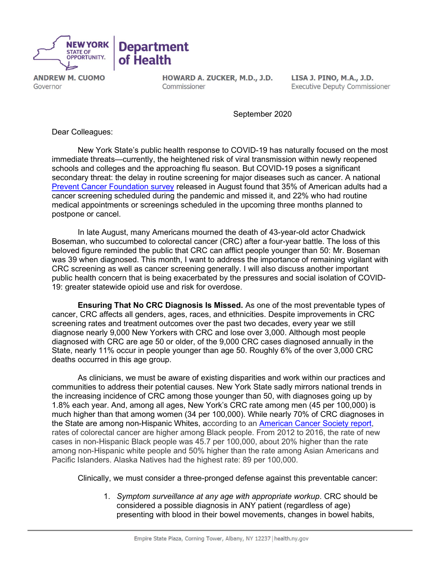

**ANDREW M. CUOMO** Governor

HOWARD A. ZUCKER, M.D., J.D. Commissioner

LISA J. PINO, M.A., J.D. **Executive Deputy Commissioner** 

September 2020

Dear Colleagues:

New York State's public health response to COVID-19 has naturally focused on the most immediate threats—currently, the heightened risk of viral transmission within newly reopened schools and colleges and the approaching flu season. But COVID-19 poses a significant secondary threat: the delay in routine screening for major diseases such as cancer. A national [Prevent Cancer Foundation survey](https://www.preventcancer.org/2020/08/prevent-cancer-foundation-announces-back-on-the-books-a-lifesaving-initiative-in-the-face-of-covid-19/) released in August found that 35% of American adults had a cancer screening scheduled during the pandemic and missed it, and 22% who had routine medical appointments or screenings scheduled in the upcoming three months planned to postpone or cancel.

In late August, many Americans mourned the death of 43-year-old actor Chadwick Boseman, who succumbed to colorectal cancer (CRC) after a four-year battle. The loss of this beloved figure reminded the public that CRC can afflict people younger than 50: Mr. Boseman was 39 when diagnosed. This month, I want to address the importance of remaining vigilant with CRC screening as well as cancer screening generally. I will also discuss another important public health concern that is being exacerbated by the pressures and social isolation of COVID-19: greater statewide opioid use and risk for overdose.

Ensuring That No CRC Diagnosis Is Missed. As one of the most preventable types of cancer, CRC affects all genders, ages, races, and ethnicities. Despite improvements in CRC screening rates and treatment outcomes over the past two decades, every year we still diagnose nearly 9,000 New Yorkers with CRC and lose over 3,000. Although most people diagnosed with CRC are age 50 or older, of the 9,000 CRC cases diagnosed annually in the State, nearly 11% occur in people younger than age 50. Roughly 6% of the over 3,000 CRC deaths occurred in this age group.

As clinicians, we must be aware of existing disparities and work within our practices and communities to address their potential causes. New York State sadly mirrors national trends in the increasing incidence of CRC among those younger than 50, with diagnoses going up by 1.8% each year. And, among all ages, New York's CRC rate among men (45 per 100,000) is much higher than that among women (34 per 100,000). While nearly 70% of CRC diagnoses in the State are among non-Hispanic Whites, according to an [American Cancer Society report,](https://www.cancer.org/content/dam/cancer-org/research/cancer-facts-and-statistics/colorectal-cancer-facts-and-figures/colorectal-cancer-facts-and-figures-2017-2019.pdf)  rates of colorectal cancer are higher among Black people. From 2012 to 2016, the rate of new cases in non-Hispanic Black people was 45.7 per 100,000, about 20% higher than the rate among non-Hispanic white people and 50% higher than the rate among Asian Americans and Pacific Islanders. Alaska Natives had the highest rate: 89 per 100,000.

Clinically, we must consider a three-pronged defense against this preventable cancer:

1. Symptom surveillance at any age with appropriate workup. CRC should be considered a possible diagnosis in ANY patient (regardless of age) presenting with blood in their bowel movements, changes in bowel habits,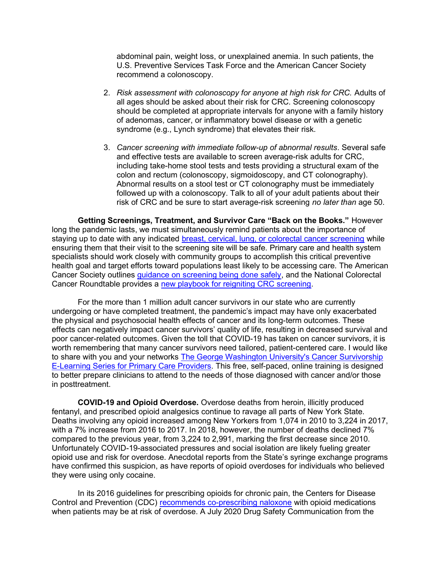abdominal pain, weight loss, or unexplained anemia. In such patients, the U.S. Preventive Services Task Force and the American Cancer Society recommend a colonoscopy.

- 2. Risk assessment with colonoscopy for anyone at high risk for CRC. Adults of all ages should be asked about their risk for CRC. Screening colonoscopy should be completed at appropriate intervals for anyone with a family history of adenomas, cancer, or inflammatory bowel disease or with a genetic syndrome (e.g., Lynch syndrome) that elevates their risk.
- 3. Cancer screening with immediate follow-up of abnormal results. Several safe and effective tests are available to screen average-risk adults for CRC, including take-home stool tests and tests providing a structural exam of the colon and rectum (colonoscopy, sigmoidoscopy, and CT colonography). Abnormal results on a stool test or CT colonography must be immediately followed up with a colonoscopy. Talk to all of your adult patients about their risk of CRC and be sure to start average-risk screening no later than age 50.

Getting Screenings, Treatment, and Survivor Care "Back on the Books." However long the pandemic lasts, we must simultaneously remind patients about the importance of staying up to date with any indicated [breast, cervical, lung, or colorectal cancer screening](https://www.cdc.gov/cancer/dcpc/prevention/screening.htm) while ensuring them that their visit to the screening site will be safe. Primary care and health system specialists should work closely with community groups to accomplish this critical preventive health goal and target efforts toward populations least likely to be accessing care. The American Cancer Society outlines [guidance on screening being done safely](https://www.cancer.org/healthy/find-cancer-early/cancer-screening-guidelines/cancer-screening-during-covid-19-pandemic.html), and the National Colorectal Cancer Roundtable provides a [new playbook for reigniting CRC screening.](https://nccrt.org/resource/a-playbook-for-reigniting-colorectal-cancer-screening-as-communities-respond-to-the-covid-19-pandemic/)

For the more than 1 million adult cancer survivors in our state who are currently undergoing or have completed treatment, the pandemic's impact may have only exacerbated the physical and psychosocial health effects of cancer and its long-term outcomes. These effects can negatively impact cancer survivors' quality of life, resulting in decreased survival and poor cancer-related outcomes. Given the toll that COVID-19 has taken on cancer survivors, it is worth remembering that many cancer survivors need tailored, patient-centered care. I would like to share with you and your networks [The George Washington University's Cancer Survivorship](https://bit.ly/E-LearningNYS)  [E-Learning Series for Primary Care Providers.](https://bit.ly/E-LearningNYS) This free, self-paced, online training is designed to better prepare clinicians to attend to the needs of those diagnosed with cancer and/or those in posttreatment.

COVID-19 and Opioid Overdose. Overdose deaths from heroin, illicitly produced fentanyl, and prescribed opioid analgesics continue to ravage all parts of New York State. Deaths involving any opioid increased among New Yorkers from 1,074 in 2010 to 3,224 in 2017, with a 7% increase from 2016 to 2017. In 2018, however, the number of deaths declined 7% compared to the previous year, from 3,224 to 2,991, marking the first decrease since 2010. Unfortunately COVID-19-associated pressures and social isolation are likely fueling greater opioid use and risk for overdose. Anecdotal reports from the State's syringe exchange programs have confirmed this suspicion, as have reports of opioid overdoses for individuals who believed they were using only cocaine.

In its 2016 guidelines for prescribing opioids for chronic pain, the Centers for Disease Control and Prevention (CDC) [recommends co-prescribing naloxone](https://www.cdc.gov/mmwr/volumes/65/rr/rr6501e1.htm) with opioid medications when patients may be at risk of overdose. A July 2020 Drug Safety Communication from the